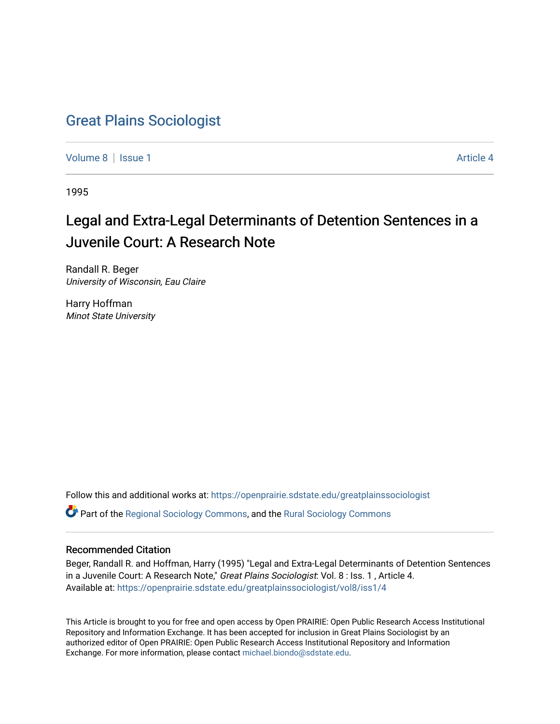# [Great Plains Sociologist](https://openprairie.sdstate.edu/greatplainssociologist)

[Volume 8](https://openprairie.sdstate.edu/greatplainssociologist/vol8) | [Issue 1](https://openprairie.sdstate.edu/greatplainssociologist/vol8/iss1) Article 4

1995

# Legal and Extra-Legal Determinants of Detention Sentences in a Juvenile Court: A Research Note

Randall R. Beger University of Wisconsin, Eau Claire

Harry Hoffman Minot State University

Follow this and additional works at: [https://openprairie.sdstate.edu/greatplainssociologist](https://openprairie.sdstate.edu/greatplainssociologist?utm_source=openprairie.sdstate.edu%2Fgreatplainssociologist%2Fvol8%2Fiss1%2F4&utm_medium=PDF&utm_campaign=PDFCoverPages) 

Part of the [Regional Sociology Commons](http://network.bepress.com/hgg/discipline/427?utm_source=openprairie.sdstate.edu%2Fgreatplainssociologist%2Fvol8%2Fiss1%2F4&utm_medium=PDF&utm_campaign=PDFCoverPages), and the [Rural Sociology Commons](http://network.bepress.com/hgg/discipline/428?utm_source=openprairie.sdstate.edu%2Fgreatplainssociologist%2Fvol8%2Fiss1%2F4&utm_medium=PDF&utm_campaign=PDFCoverPages) 

# Recommended Citation

Beger, Randall R. and Hoffman, Harry (1995) "Legal and Extra-Legal Determinants of Detention Sentences in a Juvenile Court: A Research Note," Great Plains Sociologist: Vol. 8 : Iss. 1, Article 4. Available at: [https://openprairie.sdstate.edu/greatplainssociologist/vol8/iss1/4](https://openprairie.sdstate.edu/greatplainssociologist/vol8/iss1/4?utm_source=openprairie.sdstate.edu%2Fgreatplainssociologist%2Fvol8%2Fiss1%2F4&utm_medium=PDF&utm_campaign=PDFCoverPages) 

This Article is brought to you for free and open access by Open PRAIRIE: Open Public Research Access Institutional Repository and Information Exchange. It has been accepted for inclusion in Great Plains Sociologist by an authorized editor of Open PRAIRIE: Open Public Research Access Institutional Repository and Information Exchange. For more information, please contact [michael.biondo@sdstate.edu.](mailto:michael.biondo@sdstate.edu)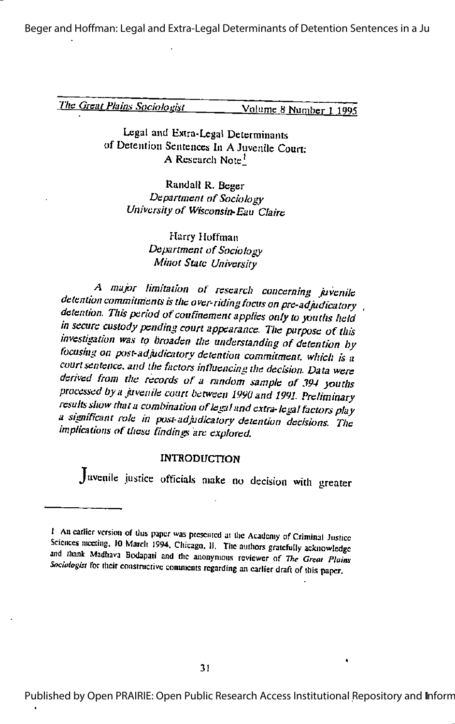Beger and Hoffman: Legal and Extra-Legal Determinants of Detention Sentences in a Ju

The Great Plains Sociologist Volume 8 Number 1 1995

Legal and Extra-Legal Determinants of Detention Sentences In A Juvenile Court: A Research Note<sup> $1$ </sup>

> Randall R. Beger Department of Sociology University of Wisconsin-Eau Claire

> > Harry Hoffman Department of Sociology Minot State University

A major limitation of research concerning juvenile detention commitments is the over-riding focus on pre-adjudicatory detention. This period of confinement applies only to youths held in secure custody pending court appearance. The purpose of this investigation was to broaden the understanding of detention by focusing on posr-adjudicatory detention commitment, which is a court sentence, and the factors influencing the decision. Data were derived from the records of a random sample of 394 youths processed by a juvenile court between 1990 and 1991. Preliminary results show that a combination of legal and extra-Icgal factors play a significant role in post-adjudicatory detention decisions. The implications of these findings are explored.

# INTRODUCTION

Juvenile justice officials make no decision with greater

<sup>1</sup> An earlier version of Uns paper was prcsciiicd at ilic Academy of Criminal Justice Sciences nucting. 10 March 1994. Chicago. II. The authors gratefully acknowledge and thank Madhava Bodapati and the anonymous reviewer of The Great Plains Sociologist for their constructive coninents regarding an earlier draft of this paper.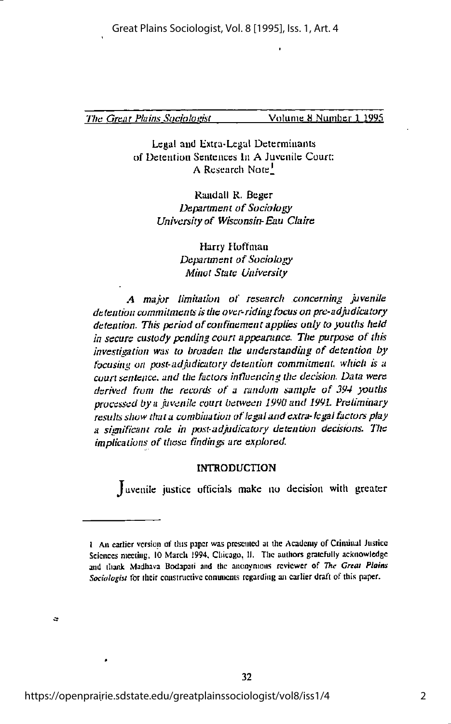The Great Plains Sociologist Volume 8 Number 1 1995

Legal and Extra-Legal Determinants of Detention Sentences In A Juvenile Court: A Research Note<sup>1</sup>

> Randall R, Begcr Department of Sociology University of Wisconsin-Eau Claire

> > Harry Hoffman Department of Sociology Minot State University

A major limitation of research concerning juvenile detention commitments isthe over-riding focus on pre-adjudicatory detention. This period of confinement applies only to youths held in secure custody pending court appearance. The purpose of this investigation was to broaden the understanding of detention by focusing on post-adjudicatory detention commitment, which is a court sentence, and the factors influencing the decision. Data were derived from the records of a random sample of 394 youths processed bya pvenile court between 1990 and 1991. Freliminary results show that a combination of legal and extra-legal factors play a significant role in post-adpdicatory detention decisions. The implications of these findings are explored.

# INTRODUCTION

Juvenile justice officials make no decision with greater

ċ.

<sup>1</sup> An earlier version of this paper was presented at the Academy of Criminal Justice Sciences meeting, 10 March 1994. Chicago. II. The authors gratefully acknowledge and thank Madhava Bodapati and the anonymous reviewer of The Great Plains Sociologist for their constructive comments regarding an earlier draft of this paper.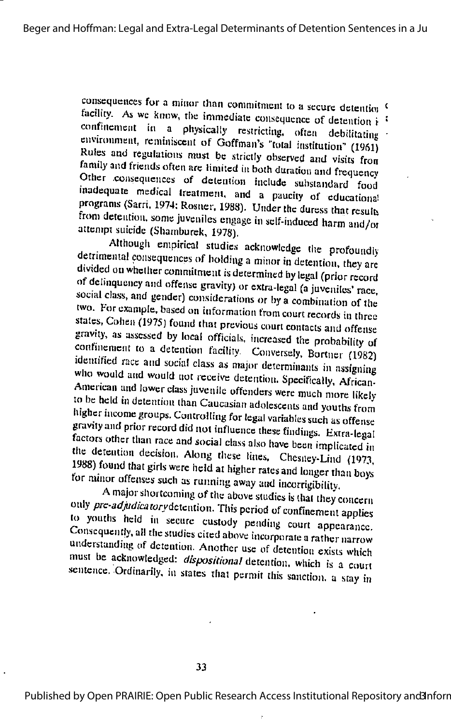consequences for a minor than commitment to a secure detention  $\epsilon$ facility. As we know, the immediate consequence of detention  $i$ confinement in a physically restricting, often debilitating  $\cdot$ environment, reminiscent of Goffman's "total institution" (1961) Rules and regulations must be strictly observed and visits from family and friends often are limited in both duration and frequency Other .consequences of detention include substandard food inadequate medical treatment, and a paucity of educational programs (Sarri, 1974: Rosner, 1988). Under the duress that result, from detention, some juveniles engage in self-induced harm and/or attempt suicide (Shamburck, 1978).

Although empirical studies acknowledge the profoundly detrimental consequences of holding a minor in detention, they are divided on whether commitment is determined by legal (prior record of delinquency and offense gravity) or extra-legal (a juveniles' race, social class, and gender) considerations or by a combination of the two. For example, based on information from court records in three states, Cohen (1975) found that previous court contacts and offense gravity, as assessed by local officials, increased the probability of confinement to a detention facility. Conversely, Bortner (1982) identified race and social class as major determinants in assigning who would and would not receive detention. Specifically, African-American and lower class juvenile offenders were much more likely to be held in detention than Caucasian adolescents and youths from higher income groups. Controlling for legal variables such as offense gravity and prior record did not influence these findings. Extra-legal factors other than race and social class also have been implicated in the detention decision. Along these lines, Chesney-Lind  $(1973,$ 1988) found that girls were held at higher rates and longer than boys for minor offenses such as running away and incorrigibility.

A major shortcoming of the above studies is that they concern only pre-adjudicatory detention. This period of confinement applies to youths held in secure custody pending court appearance. Consequently, all the studies cited above incorporate a rather narrow understanding of detention. Another use of detention exists which must be acknowledged: dispositional detention, which is a court sentence. Ordinarily, in states that permit this sanction, a stay in

J.

Published by Open PRAIRIE: Open Public Research Access Institutional Repository and 3Inforn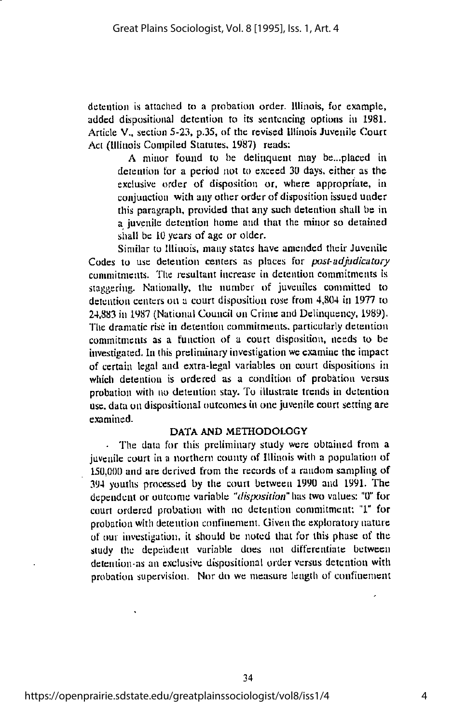detention is attached to a probation order. Illinois, for example, added dispositional detention to its sentencing options in 1981. Article V., section 5-23, p.35, of the revised Illinois Juvenile Court Act (Illinois Compiled Statutes, 1987) reads;

A minor found to be delinquent may be...placed in detention for a period not to exceed 30 days, cither as the exclusive order of disposition or, where appropriate, in conjunction with any other order of disposition issued under this paragraph, provided that any such detention shall be in a juvenile detention home and that the minor so detained shall be 10 years of age or older.

Similar to Illinois, many states have amended their Juvenile Codes to use detention centers as places for *post-adjudicatory* commitments. The resultant increase in detention conmiitments is staggering. Nationally, the number of juveniles committed to detention centers on a court disposition rose from 4,804 in 1977 to 24,883 in 1987 (National Council on Crime and Delinquency, 1989). The dramatic rise in detention commitments, particularly detention commitments as a function of a court disposition, needs to be investigated. In this preliminary investigation we examine the impact of certain legal and extra-legal variables on court dispositions in which detention is ordered as a condition of probation versus probation with no detention stay. To illustrate trends in detention use, data on dispositional outcomes in one juvenile court setting are examined.

# DATA AND METHODOLOGY

The data for this preliminary study were obtained from a juvenile court in a northern countyof Illinois with a population of 15U,00U and are derived from the records of a random sampling of 394 youths processed by the court between 1990 and 1991. The dependent or outcome variable "*disposition*" has two values: "0" for court ordered probation with no detention commitment; "1" for probation with detention confinement. Given the exploratory nature of our investigation, it should be noted that for this phase of the study the dependent variable does not differentiate between detention-as an exclusive dispositional order versus detention with probation supervision. Nor do we measure length of confinement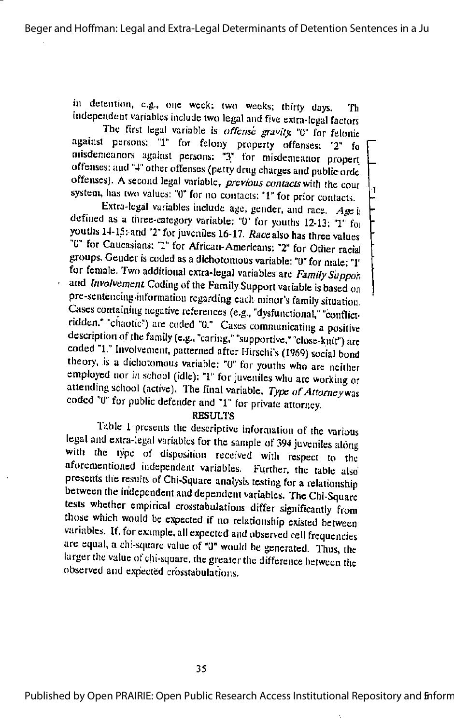in detention, e.g., one week; two weeks; thirty days. Th Independent variables include two legal and five extra-legal factors

The first legal variable is offense gravity. "O" for felonie against persons: "1" for felony properly offenses; "2" fo niisdenicaiior.s against persons: "3" for niisdemeanor propert offenses: and "4" other offenses (petty drug charges and public orde. offenses). A second legal variable, previous contacts with the cour

h

system, has two values: "0" for no contacts: "1" for prior contacts.<br>Extra-legal variables include age, gender, and race.  $Age$ defined as a three-category variable: "0" for youths 12-13: "1" for youths 14-15: and "2" for juveniles 16-17. Race also has three values U for Caucasians: "1" for African-Americans: "2" for Other racial groups. Gender is coded as a dichotomous variable: "0" for male; "1" for female. Two additional extra-legal variables are Family Support and Involvement Coding of the Family Support variable is based on  $\epsilon$ pre-scntcncing information regarding each minor's family situation Cases containing negative references (e.g., "dysfunctional," "conflictridden," "chaotic") are coded "0." Cases communicating a positive descripdon of the family (e.g.. "caring," "supportive," "close-knit") are coded "1." Involvement, patterned after Hirschi's (1969) social bond theory, Is a dichotonious variable: "0" for youths who arc neither employed nor in school (idle); "1" for juveniles who arc working or attending school (active). The final variable,  $Type$  of Attorneywas coded "0" for public defender and "1" for private attorney.

### RESULTS

lable 1 presents the descriptive information of the various legal and extra-legal variables for the sample of 394 juveniles along witli the type of disposition received with respect to the aforementioned independent variables. Further, the table also presents the results of Chi-Square analysis testing for a relationship between the in'dependent and dependent variables. The Chi-Square tests whether empirical crosstabulations differ significantly from those which would he expected if no relationship existed between variables. If, for example, all expected and observed cell frequencies are equal, a chi-square value of '0" would be generated. Thus, the larger the value of chi-square, the greater the difference between the observed and expected crosstabulations.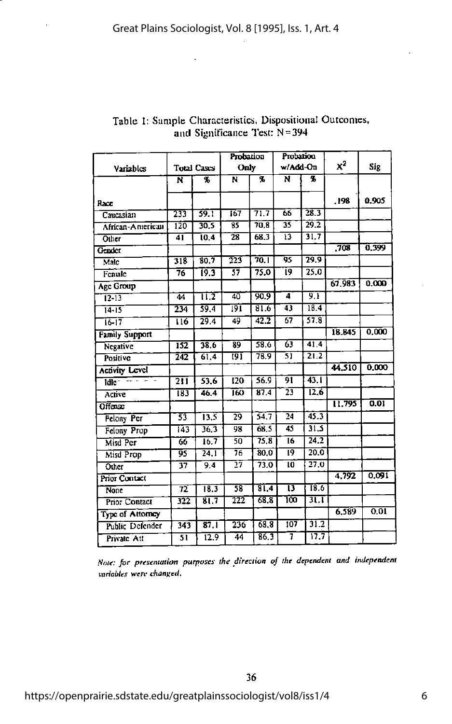|                         |                         |                   | Probation                  |                  | Probation       |                   |            |       |
|-------------------------|-------------------------|-------------------|----------------------------|------------------|-----------------|-------------------|------------|-------|
| Variables               |                         | Total Cases       |                            | w/Acd-On<br>Only |                 | $x^2$             | <b>Sig</b> |       |
|                         | $\overline{\mathbf{N}}$ | K                 | $\overline{\mathbf{N}}$    | T                | N               | T                 |            |       |
|                         |                         |                   |                            |                  |                 |                   |            |       |
| Race                    |                         |                   |                            |                  |                 |                   | .198       | 0.905 |
| Caucasian               | $\overline{233}$        | 59.1              | 167                        | 71.7             | 66              | 28.3              |            |       |
| African-American        | $\overline{120}$        | 30.5              | 85                         | 70.8             | 35              | 29.2              |            |       |
| Other                   | 41                      | 10.4              | $\overline{2\overline{3}}$ | 68.3             | 13              | 31.7              |            |       |
| <b>Gender</b>           |                         |                   |                            |                  |                 |                   | .708       | 0.399 |
| Male                    | 318                     | 80.7              | 223                        | 70.1             | वड              | $\overline{29.9}$ |            |       |
| Fenale                  | $\overline{76}$         | 19.3              | 57                         | 75.0             | Ī9              | 25.0              |            |       |
| Age Group               |                         |                   |                            |                  |                 |                   | 67.983     | 0.000 |
| $12 - 13$               | 44                      | $\overline{11.2}$ | 40                         | 90.9             | 4               | 9.T               |            |       |
| $14 - 15$               | 234                     | 59.4              | 191                        | 81.6             | 43              | 18.4              |            |       |
| $16 - 7$                | $\overline{116}$        | 29.4              | 49                         | 42.2             | 67              | 57.8              |            |       |
| <b>Family Support</b>   |                         |                   |                            |                  |                 |                   | 18.845     | 0.000 |
| Negative                | 152                     | 38.6              | 89                         | 58.6             | 63              | 41.4              |            |       |
| <b>Positive</b>         | 242                     | 61.4              | 191                        | 78.9             | 51              | 21.2              |            |       |
| <b>Activity Level</b>   |                         |                   |                            |                  |                 |                   | 44.510     | 0.000 |
| Idle <sup>-</sup>       | 21 I                    | 53.6              | 120                        | 569              | 91              | 43.1              |            |       |
| Active                  | $\overline{183}$        | 46.4              | 160                        | 87.4             | 23              | $\overline{12.6}$ |            |       |
| <b>Offensc</b>          |                         |                   |                            |                  |                 |                   | 11.795     | 0.01  |
| Felony Per              | 33                      | 13.5              | 29                         | 54.7             | 24              | 45.3              |            |       |
| Felony Prop             | 143                     | 36.3              | 98                         | 68.5             | $\overline{45}$ | 31.5              |            |       |
| Misd Per                | 66                      | 16.7              | 30                         | 758              | $\overline{16}$ | $\overline{24.2}$ |            |       |
| <b>Misd Prop</b>        | 95                      | 24.1              | 76                         | 80.0             | 19              | 20.0              |            |       |
| Other                   | 37                      | 9.4               | 27                         | 73.0             | 10              | $\overline{27.0}$ |            |       |
| Prior Contact           |                         |                   |                            |                  |                 |                   | 4.792      | 0.091 |
| <b>None</b>             | 72                      | 18.3              | 58                         | 81.4             | 13              | <b>18.6</b>       |            |       |
| <b>Prior Contact</b>    | 322                     | 81.7              | 722                        | 68.8             | īάο             | 31.1              |            |       |
| <b>Type of Attorney</b> |                         |                   |                            |                  |                 |                   | 6.589      | 0.01  |
| Public Defender         | 343                     | $\overline{87.1}$ | 236                        | 68.8             | 107             | <u> 31.2</u>      |            |       |
| Private Att             | 51                      | 12.9              | 44                         | 86.3             | 7               | 17.7              |            |       |

Table 1: Sample Characteristics, Dispositional Outcomes, and Significance Test: N = 394

Note: for presentation purposes the direction of the dependent and independent variables were changed.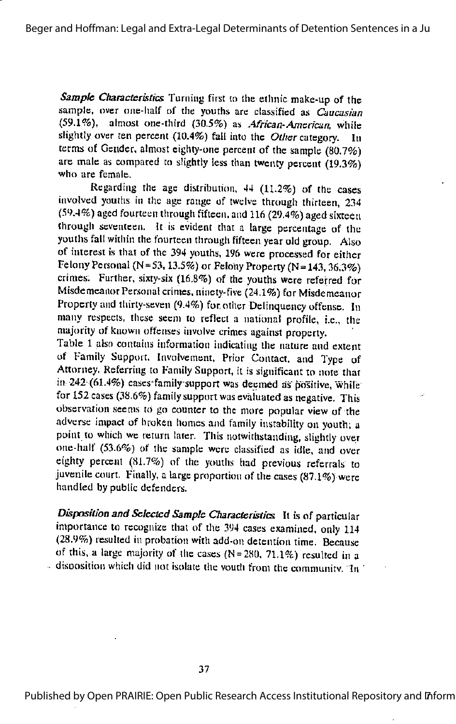Sample Characteristics Turning first to the ethnic make-up of the sample, over one-half of the youths are classified as *Caucasian* (59.1%), almost one-third (30.5%) as African-American, while slightly over ten percent (10.4%) fall into the Other category. In terms of Gender, almost eighty-one percent of the sample (80.7%) are male as compared to slightly less than twenty percent (19.3%) who are female.

Regarding the age distribution, 44 (11.2%) of the cases involved youths in the age range of twelve through thirteen, 234 (59.4%) aged fourteen through fifteen, and 116 (29.4%) aged sixteen through seventeen. It is evident chat a large percentage of the youths fall within the fourteen through fifteen year old group. Also of interest is that of the 394 youths, 196 were processed for either Felony Personal ( $N = 53, 13.5\%$ ) or Felony Property ( $N = 143, 36.3\%$ ) crimes. Further, sixty-six (16.8%) of the youths were referred for Misdemeanor Personal crimes, ninety-five  $(24.1%)$  for Misdemeanor Property and thirty-seven (9.4%) for other Delinquency offense. In many respects, these seem to reflect a national profile, i.e., the majority of known offenses involve crimes against properly.

Table 1 also contains information indicating the nature and extent of Family Support. Involvement, Prior Contact, and Type of Attorney. Referring to Family Support, it is significant to note that in  $242 (61.4%)$  cases family support was deemed as positive, while for 152 cases (38.6%) family support was evaluated as negative. This observation seems to go counter to the more popular view of the adverse impact of broken homes and family instability on youth; a point to which we return later. This notwithstanding, slightly over one-half (53.6%) of the sample were classified as idle, and over eighty percent (81.7%) of the youths had previous referrals to juvenile court. Finally, a large proportion of the cases  $(87.1\%)$  were handled by public defenders.

Disposition and Selected Sample Characteristics It is of particular Importance to recognize that of the 394 cases examined, only 114 (28.9%) resulted in probation with add-on detention time. Because of this, a large majority of the cases (N = 280, 71.1%) resulted in a  $\sim$  disposition which did not isolate the vouth from the community. In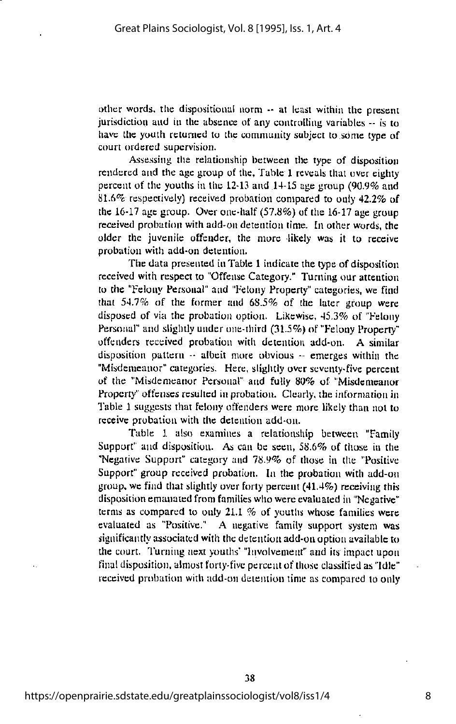other words, the dispositiooal norm - at least within the present jurisdiction and in the absence of any controlling variables -- is to have the youth returned to the community subject to some type of court ordered supervision.

Assessing the relationship between the type of disposition rendered and the age group of the, Table 1 reveals that over eighty percent of the youths in the 12-13 and 14-15 age group (90.9% and 81.6% respectively) received probation compared to only 42.2% of the 16-17 age group. Over one-half (57.8%) of the 16-17 age group received probation with add-on detention time. In other words, the older the juvenile offender, the more likely was it to receive probation with add-on detention.

The data presented in Table 1 indicate the type of disposition received with respect to "Offense Category." Turning our attention to the "Felony Personal" and "Felony Property" categories, we find that 54.7% of the former and 68.5% of the later group were disposed of via the probation option. Likewise, 45.3% of "Felony Personal" and slightly under one-third (31.5%) of "Felony Property" offenders received probation with detention add-on. A similar disposition pattern - albeit more obvious - emerges within the "Misdemeanor" categories. Here, slightly over seventy-five percent of the "Misdemeanor Personal" and fully 80% of "Misdemeanor Property" offenses resulted in probation. Clearly, the information in Table 1 suggests that felony offenders were more likely than not to receive probation with the detention add-on.

Table 1 also examines a relationship between "Family Support" and disposition. As can be seen, 58.6% of those in the "Negative Support" category and 78.9% of those in the "Positive Support" group received probation. In the probation with add-on group, we find that slightly over forty percent (41.4%) receiving this disposition emanated from familieswho were evaluated in "Negative" terms as compared to only 21.1 % of youths whose families were evaluated as "Positive." A negative family support system was significantly associated with the detention add-on option available to the court, Turning next youths' "Involvement" and its impact upon final disposition, almost forty-five percent of those classified as "Idle" received probation with add-on detention time as compared to only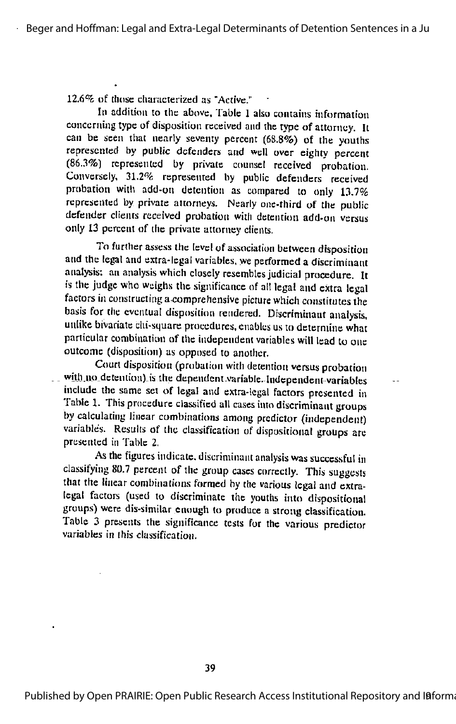$12.6\%$  of those characterized as "Active."

In addition to the above. Table 1 also contains information concerning type of disposition received and the type of attorney. It can be seen that nearly seventy percent (68.8%) of the youths represented by public defenders and well over eighty percent (86..1%) represented by private counsel received probation. Conversely, 31.2% represented by public defenders received probation with add-on detention as compared to only 13.7% represented by private attorneys. Nearly one-third of the public defender clients received probation with detention add-on versus only 13 percent of the private attorney clients.

To further assess the level of association between disposition and the legal and extra-legal variables, we performed a discriminant analysis; an analysis which closely resembles judicial procedure. It is the judge who weighs the significance of all legal and extra legal factors in constructing a comprehensive picture which constitutes the basis for the eventual disposition rendered. Discriminant analysis, unlike bivariate chi-square procedures, enables us to determine what particular combination of the independent variables will lead to one outcome (disposition) as opposed to another.

Omrt disposition (probation with detention versus probation include the same set of legal and extra-legal factors presented in Table 1. This procedure classified all cases into discriminant groups by calculating linear combinations among predictor (independent) variables. Results of the classification of dispositional groups are presented in Table 2,

As the figures indicate, discriminant analysis was successful in classifying 80.7 percent of the group cases correctly. This suggests that the linear conibinations formed by the various legal and extralegal factors (used to discriminate the youths into dispositional groups) were dis-similar enough to produce a strong classification. Table 3 presents the significance tests for the various predictor variables in this classification.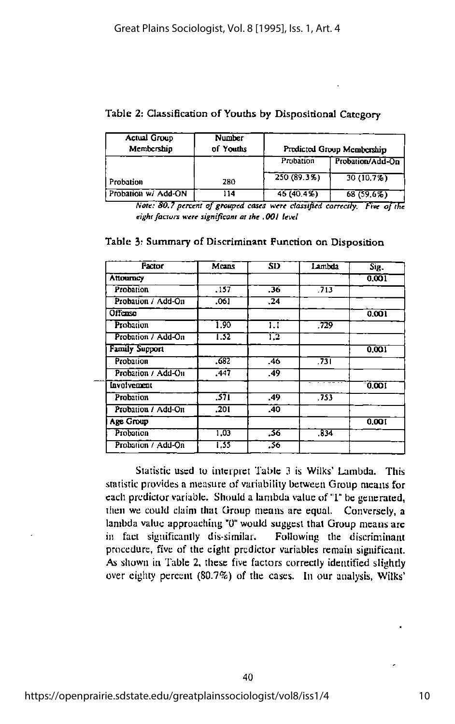|  |  |  |  |  |  | Table 2: Classification of Youths by Dispositional Category |  |
|--|--|--|--|--|--|-------------------------------------------------------------|--|
|--|--|--|--|--|--|-------------------------------------------------------------|--|

| Actual Group<br>Membership | Number<br>of Youths |            |                            |
|----------------------------|---------------------|------------|----------------------------|
|                            |                     |            | Predicted Group Membership |
|                            |                     | Probation  | Probation/Add-On           |
| Probation                  | 280                 | 250(89.3%) | 30(10.7%)                  |
| Probation w/ Add-ON        | 114                 | 46(40.4%)  | 68(59.6%)                  |

Note: 80.7 percent of grouped cases were classified correctly. Five of the eight factors were significant at the ,001 level

| Factor                | Means  | SD               | Lambda | Sig.  |
|-----------------------|--------|------------------|--------|-------|
| <b>Attourney</b>      |        |                  |        | 0.001 |
| Probation             | .157   | .36              | .713   |       |
| Probation / Add-On    | .061   | $\overline{.24}$ |        |       |
| Offense               |        |                  |        | 0.001 |
| Probation             | 1.90   | 1.1              | .729   |       |
| Probation / Add-On    | 1.52   | 1,2              |        |       |
| <b>Family Support</b> |        |                  |        | 0.001 |
| Probation             | $-632$ | .46              | .731   |       |
| Probation / Add-On    | .447   | .49              |        |       |
| Involvement           |        |                  |        | 0,001 |
| Probation             | .571   | .49              | .753   |       |
| Probation / Add-On    | .201   | .40              |        |       |
| Age Group             |        |                  |        | 0.001 |
| Probation             | 1.03   | . 36             | .834   |       |
| Probation / Add-On    | 1.55   | $\overline{.56}$ |        |       |
|                       |        |                  |        |       |

|  |  |  |  | Table 3: Summary of Discriminant Function on Disposition |  |  |  |
|--|--|--|--|----------------------------------------------------------|--|--|--|
|--|--|--|--|----------------------------------------------------------|--|--|--|

Statistic used to interpret Table 3 is Wilks' Lambda. This statistic provides a measure of variability between Group means for each predictor variable. Should a lambda value of "1" be generated, then we could claim that Group means are equal. Conversely, a lambda value approaching "0" would suggest that Group means are in fact significantly dis-similar. Following the discriminant procedure, five of the eight predictor variables remain significant. .As shown in Table 2, these five factors correctly identified slightly over eighty percent (80.7%) of the cases. In our analysis, Wilks'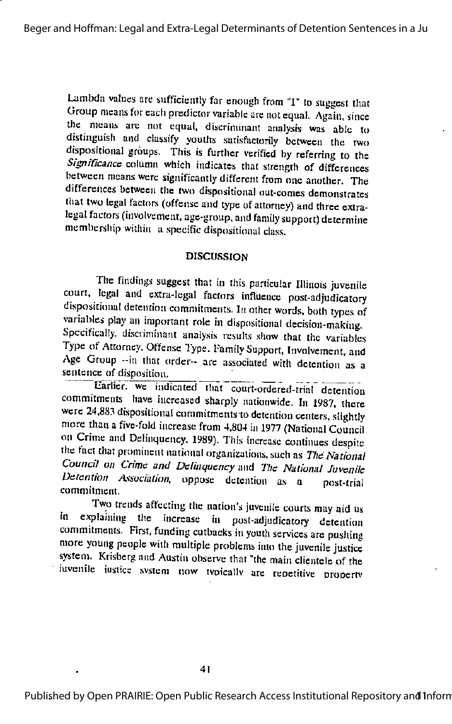Lambda values are sufficiently far enough from "1" to suggest that Group means for each predictor variable are not equal. Again, since the means arc not equal, discriminant analysis was able to distinguish and classify youths satisfactorily between the two dispositional groups. This is further verified by referring to the Significance column which indicates that strength of differences between means were significantly different from one another. The differences between the two dispositional out-comes demonstrates that two legal factors (offense and type of attorney) and three extralegal factors (involvement, age-group, and family support) determine membership within a specific dispositional class.

## DISCUSSION

The findings suggest that in this particular Illinois juvenile court, legal and extra-legal factors influence post-adjudicatory dispositional detention commitments. In other words, both types of variables play an important role in dispositional decision-making. Specifically, discriminant analysis results show that the variables Type of Attorney. Offense Type. Tamily Support, Involvement, and Age Group --in that order-- are associated with detention as a sentence of disposition.

Earlier, we indicated that court-ordered-trial detention commitments have increased sharply nationwide. In 1987, there were 24,883 dispositional commitments to detention centers, slightly more than afive-fold increase from 4.804 in 1977 (National Council on Crime and Delinquency. 1989). This increase continues despite the fact that prominent national organizations, such as *The National* Council on Crime and Delinquency and The National Juvenile Detention Association, oppose detention as a post-trial commitment.

Iwo trends affecting the nation's juvenile courts may aid us in explaining the increase in post-adjudicatory detention commitments. First, funding cutbacks in youth services are pushing more young people with multiple problems imo the juvenile justice system. Krisberg and Austin observe that "the main clientele of the iuvenile justice system now typically are repetitive property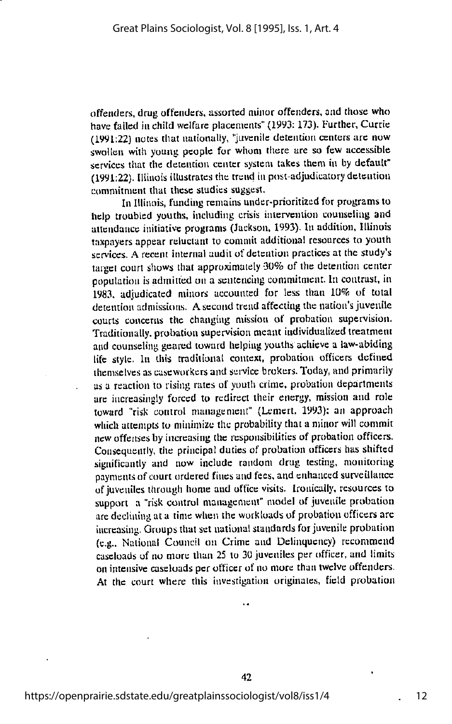offenders, drug offenders, assorted minor offenders, and those who have failed in cliild welfare placements" (1993:173). Further, Currie (1991:22) notes tliat nattonally, "juvenile detention centers are now swollen with young people for whom there are so few accessible services that the detention center system takes them in by default" (1991:22). Illinois illustrates the trend in posl-adjudicaiory detention commitment that these studies suggest.

In Illinois, funding remains under-prioritized for programs to help troubled youths, including crisis intervention counseling and attendance initiative programs (Jackson. 1993). In addition, Illinois taxpayers appear reluctant to commii additional resources to youth services. A recent internal audit of detention practices at the study's target court shows that approximately 30% of the detention center population is admitted on a sentencing commitment. In contrast, in 1983. adjudicated minors accounted for less than LU% of total detention admissions. A second trend affecting the nation's juvenile courts concerns the changing mission of probation supervision. Traditionally, probation supervision meant individualized treatment and counseling geared toward helping youths achieve a law-abiding life style. In this traditional context, probation officers defined themselves as caseworkers and service brokers. Today, and primarily as a reaction to rising rates of youth crime, probation departments are increasingly forced to redirect their energy, mission and role toward "risk control management" (Lemert, 1993): an approach which attempts to minimize the probability that a minor will commit new offensesby increasing the responsibilities of probation officers. Consequently, the principal duties of probation officers has shifted significantly and now include random drug testing, monitoring payments of court ordered fines and fees, and enhanced surveillance of juveniles through home and office visits. Ironically, resources to support a "risk control management" model of juvenile probation are declining at a time when the workloads of probation officers are increasing. Groups that set national standards for juvenile probation (e.g.. National Council on Crime and Delinquency) recommend caseloads of no more than 25 to 30 juveniles per officer, and limits on intensive caseloads per officer of no more than twelve offenders. At the court where this investigation originates, field probation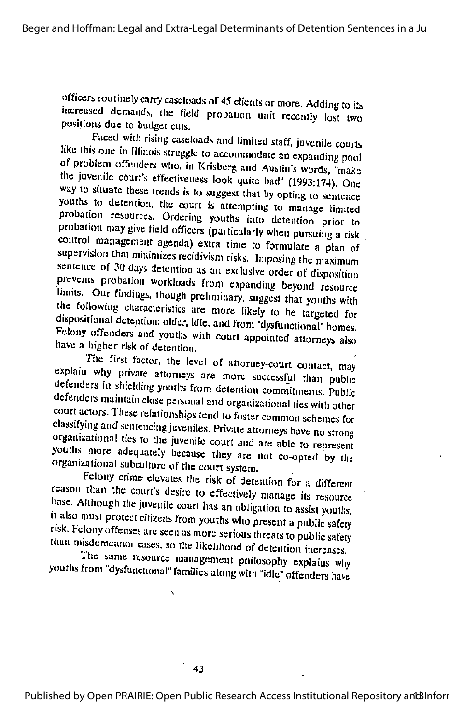officers routinely carry caseloads of 45 clients or more. Adding to its uicreased demands, the field probation unit recently lost two positions due to budget cuts.

Faced with rising caseloads and limited staff, juvenile courts like this one in Illinois struggle to accommodate an expanding pool ot problem offenders who. in Krisberg and Austin's words, "make the juvenile court's effectiveness look quite bad" (1993:174). One way to situate these trends is to suggest that by opting to sentence youths to detention, the court is attempting to manage limited probation resources. Ordering youths into detention prior to probation may give field officers (particularly when pursuing a risk control management agenda) extra time to formulate a plan of supervision that minimizes recidivism risks. Imposing the maximum sentence of 30 days detention as an exclusive order of disposition prevents probation workloads from expanding beyond resource limits. Our findings, though preliminary, suggest that youths with the following characteristics are more likely to be targeted for dispositional detention: older, idle, and from 'dysfunctional' homes. Felony offenders and youths with court appointed attorneys also have a higher risk of detention.

The first factor, the level of attorney-court contact, may explain why private attorneys are more successful than public defenders in shielding youths from detention commitments. Public defenders mairitaiii close personal and organizational ties with other court actors. These relationships tend to foster common schemes for classifying and sentencing juveniles. Private attorneys have no stronorganizational ties to the juvenile court and are able to represent<br>youths more adequately because they are not co-opted by the organizational subculture of the court system.

Felony crime elevates the risk of detention for a different reason than the court's desire to effectively manage its resource<br>base. Although the juvenile court has an obligation to assist youths, It also must protect citizens from youths who present a public safety<br>risk, Felony offenses are seen as more serious threats to public safety than misdemeanor cases, so the likelihood of detention increases.<br>The same resource management philosophy explains why

youths from "dysfunctional" families along with "idle" offenders have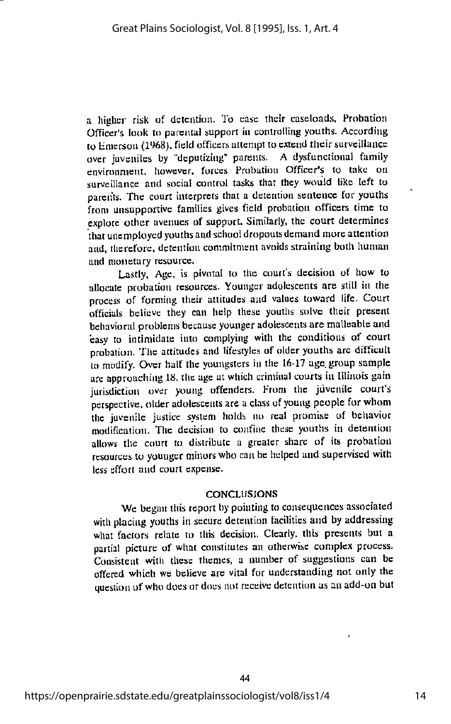a higher risk of detention. To ease their caseloads, Probation Officer's look to paremal support in controlling youths. According to Emerson (1968), field officers attempt to extend their surveillance over juveniles by "deputizing" parents. A dysfunctional family environment, however, forces Probation Officer's to take on surveillance and social control tasks that they would like left to parents. The court interprets that a detention sentence for youths from unsupporiive families gives field probation officers time to explore other avenues of support. Similarly, the court determines that unemployed youths and school dropouts demand more attention and, therefore, detention commitment avoids straining both human and monetary resource.

Lastly, Age, is pivotal to the court's decision of how to allocate probaiion resources. Younger adolescents are still in the process of forming their attitudes and values toward life. Court officials believe they can help these youths solve their present behavioral problems because younger adolescents are malleable and easy to intimidate into complying with the conditions of court probation. The attitudes and lifestyles of older youths arc difficult to modify. Over half the youngsters in the 16-17 age group sample arc approaching 18. the age atwhich criminal courts in Illinois gain jurisdiction over young offenders. From the juvenile court's perspective, older adolescents are aclass of young people for whom the juvenile justice system holds no real promise of behavior modification. The decision to confine these youths in detention allows the court to distribute a greater share of its probation resources to younger minors who can be helped and supervised with less effort and court expense.

# **CONCLUSIONS**

We began this report by pointing to consequences associated with placing youths in secure detention facilities and by addressing what factors relate to this decision. Clearly, this presents but a partial picture of what constitutes an otherwise complex process. Consistent witli these themes, a number of suggestions can be offered which we believe are vital for understanding not only the question of who does or does not receive detention as an add-on but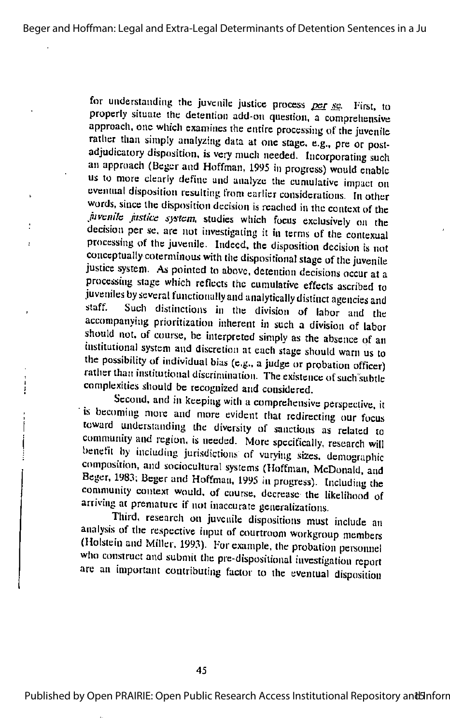for understanding the juvenile justice process  $per$   $se$ . First, to properly situate the detention add-on question, a comprehensive approach, one which examines the entire processing of the juvenile rather than simply analyzing data at one stage, e.g., pre or postadjudicatory disposition, is very much needed. Incorporating such an approach (Beger and Hoffman, 1995 in progress) would enable us to more clearly define and analyze the cumulative impact on eventual disposition resulting from earlier considerations. In other words, since the disposition decision is reached in the context of the *pivenile justice system*, studies which focus exclusively on the decision per se, are not investigating it in terms of the contexual processing of the juvenile. Indeed, the disposition decision is not conceptually coterminous with the dispositiona! stage of the juvenile justice system. As pointed to above, detention decisions occur at <sup>a</sup> processing stage which reflects the cumulative effects ascribed to juveniles by several functionally and analytically distinct agencies and staff. Such distinctions in the division of labor and the accompanying prioritization inherent in such a division of labor should not, of course, be interpreted simply as the absence of an institutional system and discretion at each stage should warn us to the possibility of individual bias (e.g., a judge or probation officer) rather than institutional discrimination. The existence of such subtle complexities should be recognized and considered.

 $\ddot{\phantom{0}}$ 

 $\ddot{\cdot}$  $\mathbf{r}$ 

j

Second, and in keeping with a comprehensive perspective, it is becoming more and more evident that redirecting our focus toward understanding the diversity of sanctions as related to community and region, is needed. More specifically, research will benefit by including jurisdictions of varying sizes, demographic composition, and sociocultural systems (Hoffman, McDonald, and Beger, 1983; Begcr and Hoffman, 1995 in progress). Including the community context would, of course, decrease the likelihood of arriving at premature if not inaccurate generalizations.

Third, research on juvenile dispositions must include an analysis of the respective input of courtroom workgroup members (Holstein and Miller, 1993). For example, the probation personnel who construct and submit the pre-dispositional investigation report are an Important contributing factor to the eventual disposition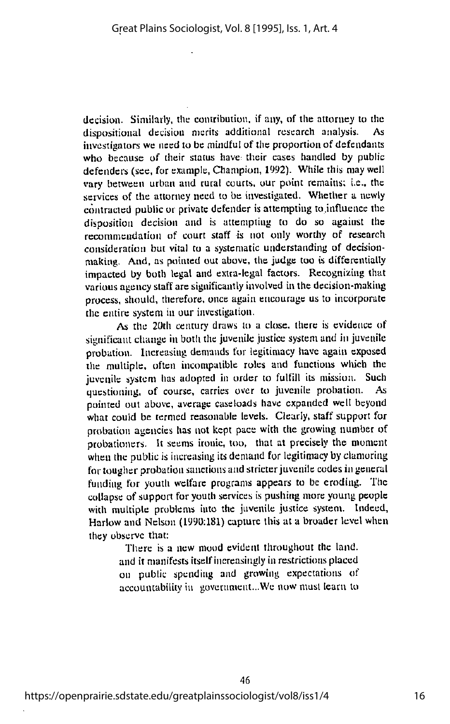decision. Similarly, the contribution, if any, of the attorney to the dispositional decision merits additional research analysis. As dispositional decision merits additional research analysis. investigators we need to be mindful of the proportion of defendants who because of their status have their cases handled by public defenders (see, for example, Champion, 1992). While this maywell vary betweeit urban and rural courts, our point remains: i.e., the services of the attorney need to be investigated. Whether a newly contracted public or private defender is attempting to influence the disposition decision and is attempting to do so against the recommendation of court staff is not only worthy of research consideration but vital to a systematic understanding of decisionmaking. And, as pointed out above, the judge loo is differentially impacted by both legal and extra-legal factors. Recognizing that various agency staffare significantly involved in the decision-nuking process, should, therefore, once again encourage us to incorporate the entire system in our investigation.

As the 20th century draws to a close, there is evidence of significant change in both the juvenile justice system and in juvenile probation. Increasing demands for legitimacy have again exposed the multiple, often incompatible roles and functions wliich the juvenile system has adopted in order to fulfill its mission. Such questioning, of course, carries over to juvenile probation. pointed out above, average caseloads have expanded well beyond what could be termed reasonable levels. Clearly, staff support for probation agencies has not kept pace with the growing number of probationers. It seems ironic, too, that at precisely the moment when the public is increasing its demand for legitimacy by clamoring for tougher probation sanctions and stricter juvenile codes in general funding for youth welfare programs appears to be eroding. The collapse of support for youth services is pushing more young people with multiple problems into the juvenile justice system. Indeed, Harlow and Nelson (1990:181) capture this at a broader level when they observe that:

> There is a new mood evident throughout the land. and it manifests itself increasingly in restrictions placed on public spending and growing expectations of accountabiliiv in government...We now must learn to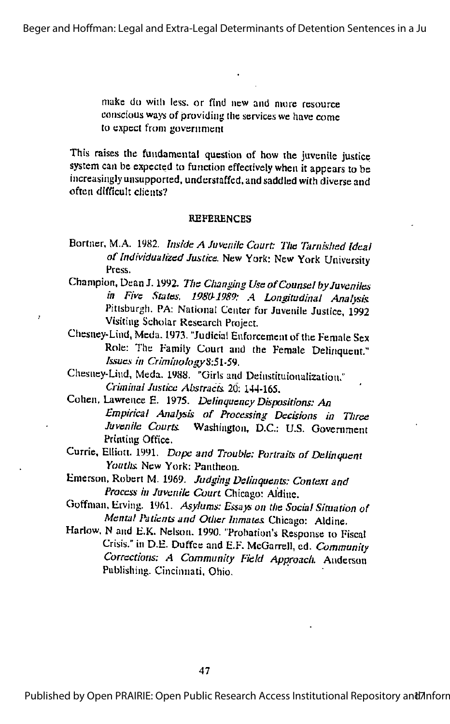make do with less, or find new and more resource conscious ways of providing the services we have come to expect from government

This raises the fundamental question of how the juvenile justice system can be expected to function effectively when it appears to be increasingly unsupported, understaffed, and saddled with diverse and often difficult clients?

#### REFERENCES

- Bortner, M.A. 1982. Inside A Juvenile Court: The Tarnished Ideal of Individualized Justice. New York: New York University Press.
- Champion, Dean J. 1992. The Changing Use of Counsel by Juveniles in Five States. 1980-1989: A Longitudinal Analysis Pittsburgh. PA: National Center for Juvenile Justice, 1992 Visiting Scholar Research Project.
- Chesney-Lind, Meda. 1973. "Judicial Enforcement of the Female Sex Role: The Family Court and the Female Delinquent." Issues in Criminology 8:51-59.
- Chesney-Lind, Meda. 1988. "Girls and Deinstituionalization." Criminal Justice Abstracts. 20: 144-165.

 $\overline{z}$ 

- Cohen, Lawrence E. 1975. Delinquency Dispositions: An Empirical Analysis of Processing Decisions in Three Juvenile Courts. Washington, D.C.: U.S. Government Printing Office.
- Currie, Elliott. 1991. Dope and Trouble: Portraits of Delinquent Youths New York: Pantheon.
- Emerson, Robert M. 1969. Judging Delinquents: Context and Process in Juvenile Court Chicago: Aldine.
- Goffman, Erving. 1961. Asylums: Essays on the Social Situation of Mental Patients and Other Inmates Chicago: Aldine.

Harlow. Nand E.K. Nelson. 1990. "Probation's Response to Fiscal Crisis." In D.E. Duffce and E.F. McGarreil, cd. Community Corrections: A Community Field Approach. Anderson Publishing. Cincinnati, Ohio.